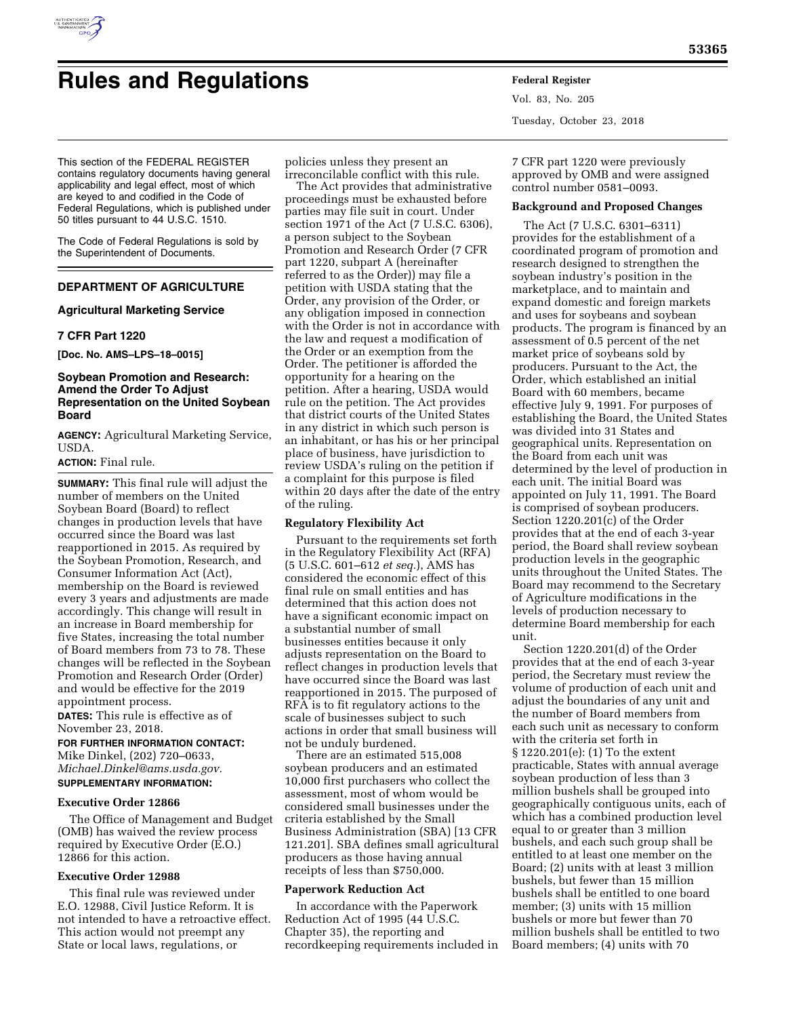

# **Rules and Regulations Federal Register**

This section of the FEDERAL REGISTER contains regulatory documents having general applicability and legal effect, most of which are keyed to and codified in the Code of Federal Regulations, which is published under 50 titles pursuant to 44 U.S.C. 1510.

The Code of Federal Regulations is sold by the Superintendent of Documents.

## **DEPARTMENT OF AGRICULTURE**

#### **Agricultural Marketing Service**

#### **7 CFR Part 1220**

**[Doc. No. AMS–LPS–18–0015]** 

#### **Soybean Promotion and Research: Amend the Order To Adjust Representation on the United Soybean Board**

**AGENCY:** Agricultural Marketing Service, USDA.

# **ACTION:** Final rule.

**SUMMARY:** This final rule will adjust the number of members on the United Soybean Board (Board) to reflect changes in production levels that have occurred since the Board was last reapportioned in 2015. As required by the Soybean Promotion, Research, and Consumer Information Act (Act), membership on the Board is reviewed every 3 years and adjustments are made accordingly. This change will result in an increase in Board membership for five States, increasing the total number of Board members from 73 to 78. These changes will be reflected in the Soybean Promotion and Research Order (Order) and would be effective for the 2019 appointment process.

**DATES:** This rule is effective as of November 23, 2018.

**FOR FURTHER INFORMATION CONTACT:**  Mike Dinkel, (202) 720–0633, *[Michael.Dinkel@ams.usda.gov.](mailto:Michael.Dinkel@ams.usda.gov)* 

**SUPPLEMENTARY INFORMATION:** 

#### **Executive Order 12866**

The Office of Management and Budget (OMB) has waived the review process required by Executive Order (E.O.) 12866 for this action.

#### **Executive Order 12988**

This final rule was reviewed under E.O. 12988, Civil Justice Reform. It is not intended to have a retroactive effect. This action would not preempt any State or local laws, regulations, or

policies unless they present an irreconcilable conflict with this rule.

The Act provides that administrative proceedings must be exhausted before parties may file suit in court. Under section 1971 of the Act (7 U.S.C. 6306), a person subject to the Soybean Promotion and Research Order (7 CFR part 1220, subpart A (hereinafter referred to as the Order)) may file a petition with USDA stating that the Order, any provision of the Order, or any obligation imposed in connection with the Order is not in accordance with the law and request a modification of the Order or an exemption from the Order. The petitioner is afforded the opportunity for a hearing on the petition. After a hearing, USDA would rule on the petition. The Act provides that district courts of the United States in any district in which such person is an inhabitant, or has his or her principal place of business, have jurisdiction to review USDA's ruling on the petition if a complaint for this purpose is filed within 20 days after the date of the entry of the ruling.

#### **Regulatory Flexibility Act**

Pursuant to the requirements set forth in the Regulatory Flexibility Act (RFA) (5 U.S.C. 601–612 *et seq.*), AMS has considered the economic effect of this final rule on small entities and has determined that this action does not have a significant economic impact on a substantial number of small businesses entities because it only adjusts representation on the Board to reflect changes in production levels that have occurred since the Board was last reapportioned in 2015. The purposed of RFA is to fit regulatory actions to the scale of businesses subject to such actions in order that small business will not be unduly burdened.

There are an estimated 515,008 soybean producers and an estimated 10,000 first purchasers who collect the assessment, most of whom would be considered small businesses under the criteria established by the Small Business Administration (SBA) [13 CFR 121.201]. SBA defines small agricultural producers as those having annual receipts of less than \$750,000.

#### **Paperwork Reduction Act**

In accordance with the Paperwork Reduction Act of 1995 (44 U.S.C. Chapter 35), the reporting and recordkeeping requirements included in Vol. 83, No. 205 Tuesday, October 23, 2018

7 CFR part 1220 were previously approved by OMB and were assigned control number 0581–0093.

#### **Background and Proposed Changes**

The Act (7 U.S.C. 6301–6311) provides for the establishment of a coordinated program of promotion and research designed to strengthen the soybean industry's position in the marketplace, and to maintain and expand domestic and foreign markets and uses for soybeans and soybean products. The program is financed by an assessment of 0.5 percent of the net market price of soybeans sold by producers. Pursuant to the Act, the Order, which established an initial Board with 60 members, became effective July 9, 1991. For purposes of establishing the Board, the United States was divided into 31 States and geographical units. Representation on the Board from each unit was determined by the level of production in each unit. The initial Board was appointed on July 11, 1991. The Board is comprised of soybean producers. Section 1220.201(c) of the Order provides that at the end of each 3-year period, the Board shall review soybean production levels in the geographic units throughout the United States. The Board may recommend to the Secretary of Agriculture modifications in the levels of production necessary to determine Board membership for each unit.

Section 1220.201(d) of the Order provides that at the end of each 3-year period, the Secretary must review the volume of production of each unit and adjust the boundaries of any unit and the number of Board members from each such unit as necessary to conform with the criteria set forth in § 1220.201(e): (1) To the extent practicable, States with annual average soybean production of less than 3 million bushels shall be grouped into geographically contiguous units, each of which has a combined production level equal to or greater than 3 million bushels, and each such group shall be entitled to at least one member on the Board; (2) units with at least 3 million bushels, but fewer than 15 million bushels shall be entitled to one board member; (3) units with 15 million bushels or more but fewer than 70 million bushels shall be entitled to two Board members; (4) units with 70